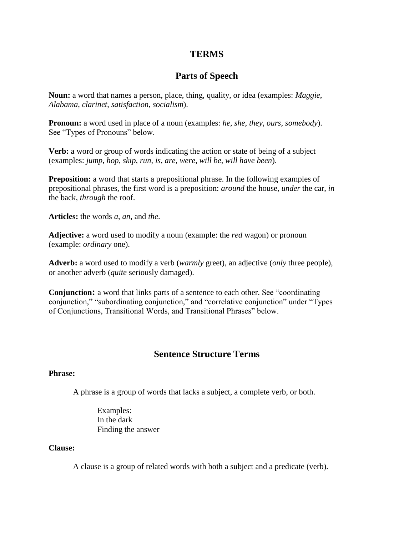## **TERMS**

# **Parts of Speech**

**Noun:** a word that names a person, place, thing, quality, or idea (examples: *Maggie*, *Alabama*, *clarinet*, *satisfaction*, *socialism*).

**Pronoun:** a word used in place of a noun (examples: *he*, *she*, *they*, *ours*, *somebody*). See "Types of Pronouns" below.

**Verb:** a word or group of words indicating the action or state of being of a subject (examples: *jump*, *hop*, *skip*, *run*, *is*, *are*, *were*, *will be*, *will have been*).

**Preposition:** a word that starts a prepositional phrase. In the following examples of prepositional phrases, the first word is a preposition: *around* the house, *under* the car, *in* the back, *through* the roof.

**Articles:** the words *a*, *an*, and *the*.

**Adjective:** a word used to modify a noun (example: the *red* wagon) or pronoun (example: *ordinary* one).

**Adverb:** a word used to modify a verb (*warmly* greet), an adjective (*only* three people), or another adverb (*quite* seriously damaged).

**Conjunction:** a word that links parts of a sentence to each other. See "coordinating conjunction," "subordinating conjunction," and "correlative conjunction" under "Types of Conjunctions, Transitional Words, and Transitional Phrases" below.

## **Sentence Structure Terms**

## **Phrase:**

A phrase is a group of words that lacks a subject, a complete verb, or both.

Examples: In the dark Finding the answer

## **Clause:**

A clause is a group of related words with both a subject and a predicate (verb).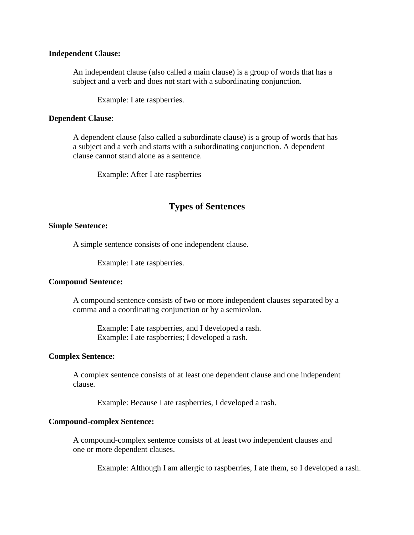#### **Independent Clause:**

An independent clause (also called a main clause) is a group of words that has a subject and a verb and does not start with a subordinating conjunction.

Example: I ate raspberries.

#### **Dependent Clause**:

A dependent clause (also called a subordinate clause) is a group of words that has a subject and a verb and starts with a subordinating conjunction. A dependent clause cannot stand alone as a sentence.

Example: After I ate raspberries

# **Types of Sentences**

## **Simple Sentence:**

A simple sentence consists of one independent clause.

Example: I ate raspberries.

#### **Compound Sentence:**

A compound sentence consists of two or more independent clauses separated by a comma and a coordinating conjunction or by a semicolon.

Example: I ate raspberries, and I developed a rash. Example: I ate raspberries; I developed a rash.

## **Complex Sentence:**

A complex sentence consists of at least one dependent clause and one independent clause.

Example: Because I ate raspberries, I developed a rash.

## **Compound-complex Sentence:**

A compound-complex sentence consists of at least two independent clauses and one or more dependent clauses.

Example: Although I am allergic to raspberries, I ate them, so I developed a rash.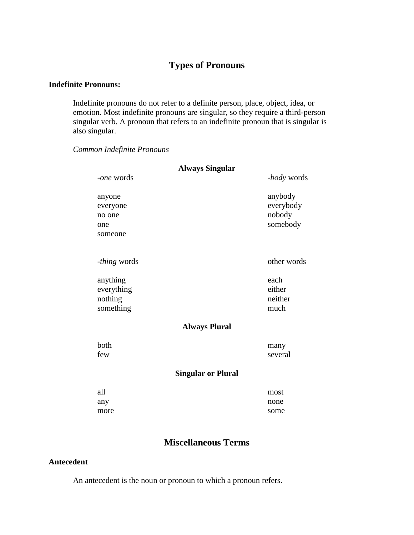# **Types of Pronouns**

## **Indefinite Pronouns:**

Indefinite pronouns do not refer to a definite person, place, object, idea, or emotion. Most indefinite pronouns are singular, so they require a third-person singular verb. A pronoun that refers to an indefinite pronoun that is singular is also singular.

## *Common Indefinite Pronouns*

| <b>Always Singular</b>                         |                                            |
|------------------------------------------------|--------------------------------------------|
| <i>-one</i> words                              | <i>body</i> words                          |
| anyone<br>everyone<br>no one<br>one<br>someone | anybody<br>everybody<br>nobody<br>somebody |
| - <i>thing</i> words                           | other words                                |
| anything<br>everything<br>nothing<br>something | each<br>either<br>neither<br>much          |
| <b>Always Plural</b>                           |                                            |
| both<br>few                                    | many<br>several                            |
| <b>Singular or Plural</b>                      |                                            |
| all                                            | most                                       |
| any                                            | none                                       |
| more                                           | some                                       |

# **Miscellaneous Terms**

## **Antecedent**

An antecedent is the noun or pronoun to which a pronoun refers.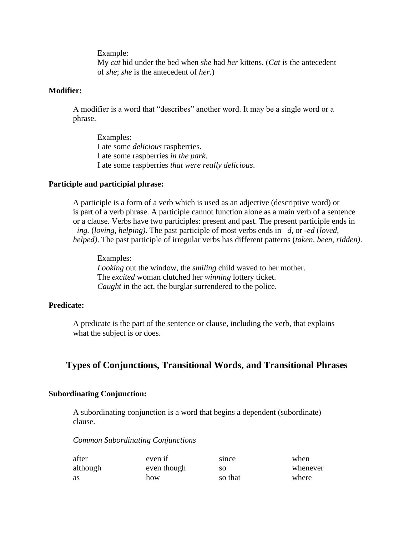Example:

My *cat* hid under the bed when *she* had *her* kittens. (*Cat* is the antecedent of *she*; *she* is the antecedent of *her.*)

## **Modifier:**

A modifier is a word that "describes" another word. It may be a single word or a phrase.

Examples: I ate some *delicious* raspberries. I ate some raspberries *in the park*. I ate some raspberries *that were really delicious*.

## **Participle and participial phrase:**

A participle is a form of a verb which is used as an adjective (descriptive word) or is part of a verb phrase. A participle cannot function alone as a main verb of a sentence or a clause. Verbs have two participles: present and past. The present participle ends in –*ing.* (*loving, helping).* The past participle of most verbs ends in *–d,* or *-ed* (*loved, helped)*. The past participle of irregular verbs has different patterns (*taken, been, ridden)*.

Examples: *Looking* out the window, the *smiling* child waved to her mother. The *excited* woman clutched her *winning* lottery ticket. *Caught* in the act, the burglar surrendered to the police.

## **Predicate:**

A predicate is the part of the sentence or clause, including the verb, that explains what the subject is or does.

## **Types of Conjunctions, Transitional Words, and Transitional Phrases**

## **Subordinating Conjunction:**

A subordinating conjunction is a word that begins a dependent (subordinate) clause.

## *Common Subordinating Conjunctions*

| after    | even if     | since   | when     |
|----------|-------------|---------|----------|
| although | even though | SО      | whenever |
| as       | how         | so that | where    |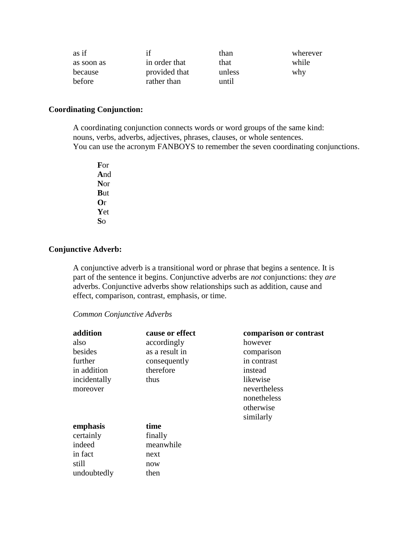| as if      | if            | than   | wherever |
|------------|---------------|--------|----------|
| as soon as | in order that | that   | while    |
| because    | provided that | unless | why      |
| before     | rather than   | until  |          |

## **Coordinating Conjunction:**

A coordinating conjunction connects words or word groups of the same kind: nouns, verbs, adverbs, adjectives, phrases, clauses, or whole sentences. You can use the acronym FANBOYS to remember the seven coordinating conjunctions.

**F**or **A**nd **N**or **B**ut **O**r **Y**et **S**o

## **Conjunctive Adverb:**

A conjunctive adverb is a transitional word or phrase that begins a sentence. It is part of the sentence it begins. Conjunctive adverbs are *not* conjunctions: they *are* adverbs. Conjunctive adverbs show relationships such as addition, cause and effect, comparison, contrast, emphasis, or time.

## *Common Conjunctive Adverbs*

| addition     | cause or effect | comparison or contrast |
|--------------|-----------------|------------------------|
| also         | accordingly     | however                |
| besides      | as a result in  | comparison             |
| further      | consequently    | in contrast            |
| in addition  | therefore       | instead                |
| incidentally | thus            | likewise               |
| moreover     |                 | nevertheless           |
|              |                 | nonetheless            |
|              |                 | otherwise              |
|              |                 | similarly              |
| emphasis     | time            |                        |
| certainly    | finally         |                        |
| indeed       | meanwhile       |                        |
| in fact      | next            |                        |
| still        | now             |                        |
| undoubtedly  | then            |                        |